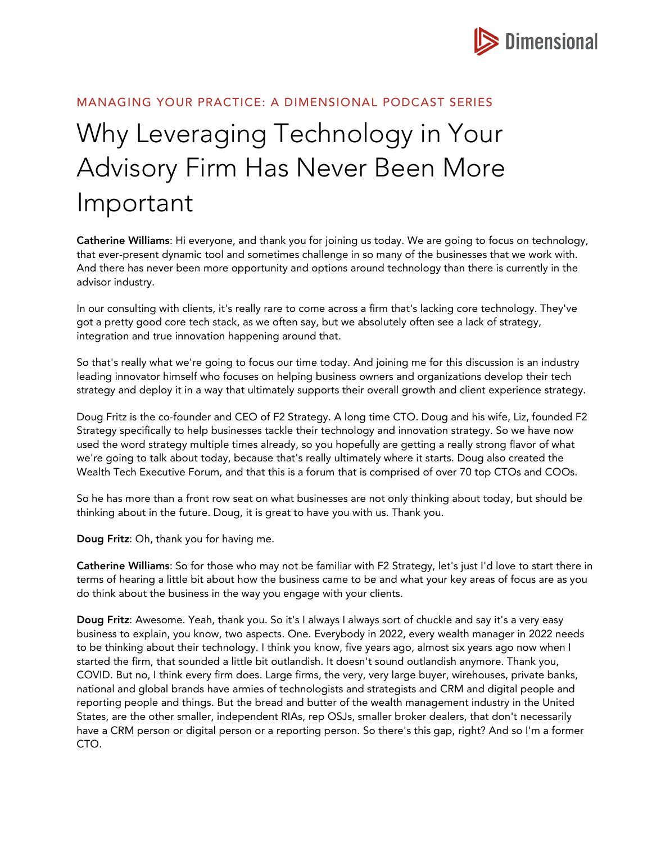

## MANAGING YOUR PRACTICE: A DIMENSIONAL PODCAST SERIES

## Why Leveraging Technology in Your Advisory Firm Has Never Been More Important

Catherine Williams: Hi everyone, and thank you for joining us today. We are going to focus on technology, that ever-present dynamic tool and sometimes challenge in so many of the businesses that we work with. And there has never been more opportunity and options around technology than there is currently in the advisor industry.

In our consulting with clients, it's really rare to come across a firm that's lacking core technology. They've got a pretty good core tech stack, as we often say, but we absolutely often see a lack of strategy, integration and true innovation happening around that.

So that's really what we're going to focus our time today. And joining me for this discussion is an industry leading innovator himself who focuses on helping business owners and organizations develop their tech strategy and deploy it in a way that ultimately supports their overall growth and client experience strategy.

Doug Fritz is the co-founder and CEO of F2 Strategy. A long time CTO. Doug and his wife, Liz, founded F2 Strategy specifically to help businesses tackle their technology and innovation strategy. So we have now used the word strategy multiple times already, so you hopefully are getting a really strong flavor of what we're going to talk about today, because that's really ultimately where it starts. Doug also created the Wealth Tech Executive Forum, and that this is a forum that is comprised of over 70 top CTOs and COOs.

So he has more than a front row seat on what businesses are not only thinking about today, but should be thinking about in the future. Doug, it is great to have you with us. Thank you.

Doug Fritz: Oh, thank you for having me.

Catherine Williams: So for those who may not be familiar with F2 Strategy, let's just I'd love to start there in terms of hearing a little bit about how the business came to be and what your key areas of focus are as you do think about the business in the way you engage with your clients.

Doug Fritz: Awesome. Yeah, thank you. So it's I always I always sort of chuckle and say it's a very easy business to explain, you know, two aspects. One. Everybody in 2022, every wealth manager in 2022 needs to be thinking about their technology. I think you know, five years ago, almost six years ago now when I started the firm, that sounded a little bit outlandish. It doesn't sound outlandish anymore. Thank you, COVID. But no, I think every firm does. Large firms, the very, very large buyer, wirehouses, private banks, national and global brands have armies of technologists and strategists and CRM and digital people and reporting people and things. But the bread and butter of the wealth management industry in the United States, are the other smaller, independent RIAs, rep OSJs, smaller broker dealers, that don't necessarily have a CRM person or digital person or a reporting person. So there's this gap, right? And so I'm a former CTO.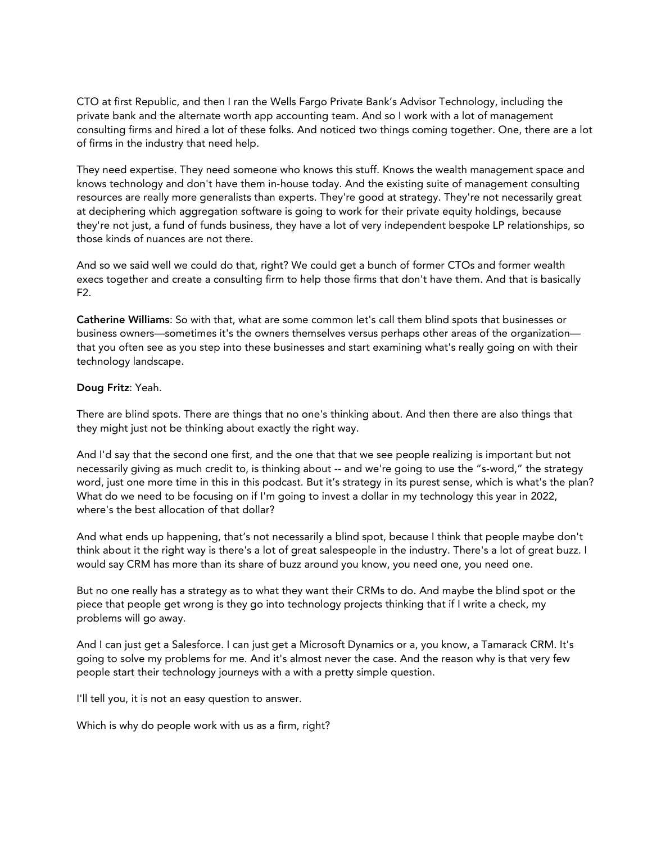CTO at first Republic, and then I ran the Wells Fargo Private Bank's Advisor Technology, including the private bank and the alternate worth app accounting team. And so I work with a lot of management consulting firms and hired a lot of these folks. And noticed two things coming together. One, there are a lot of firms in the industry that need help.

They need expertise. They need someone who knows this stuff. Knows the wealth management space and knows technology and don't have them in-house today. And the existing suite of management consulting resources are really more generalists than experts. They're good at strategy. They're not necessarily great at deciphering which aggregation software is going to work for their private equity holdings, because they're not just, a fund of funds business, they have a lot of very independent bespoke LP relationships, so those kinds of nuances are not there.

And so we said well we could do that, right? We could get a bunch of former CTOs and former wealth execs together and create a consulting firm to help those firms that don't have them. And that is basically F2.

Catherine Williams: So with that, what are some common let's call them blind spots that businesses or business owners—sometimes it's the owners themselves versus perhaps other areas of the organization that you often see as you step into these businesses and start examining what's really going on with their technology landscape.

## Doug Fritz: Yeah.

There are blind spots. There are things that no one's thinking about. And then there are also things that they might just not be thinking about exactly the right way.

And I'd say that the second one first, and the one that that we see people realizing is important but not necessarily giving as much credit to, is thinking about -- and we're going to use the "s-word," the strategy word, just one more time in this in this podcast. But it's strategy in its purest sense, which is what's the plan? What do we need to be focusing on if I'm going to invest a dollar in my technology this year in 2022, where's the best allocation of that dollar?

And what ends up happening, that's not necessarily a blind spot, because I think that people maybe don't think about it the right way is there's a lot of great salespeople in the industry. There's a lot of great buzz. I would say CRM has more than its share of buzz around you know, you need one, you need one.

But no one really has a strategy as to what they want their CRMs to do. And maybe the blind spot or the piece that people get wrong is they go into technology projects thinking that if I write a check, my problems will go away.

And I can just get a Salesforce. I can just get a Microsoft Dynamics or a, you know, a Tamarack CRM. It's going to solve my problems for me. And it's almost never the case. And the reason why is that very few people start their technology journeys with a with a pretty simple question.

I'll tell you, it is not an easy question to answer.

Which is why do people work with us as a firm, right?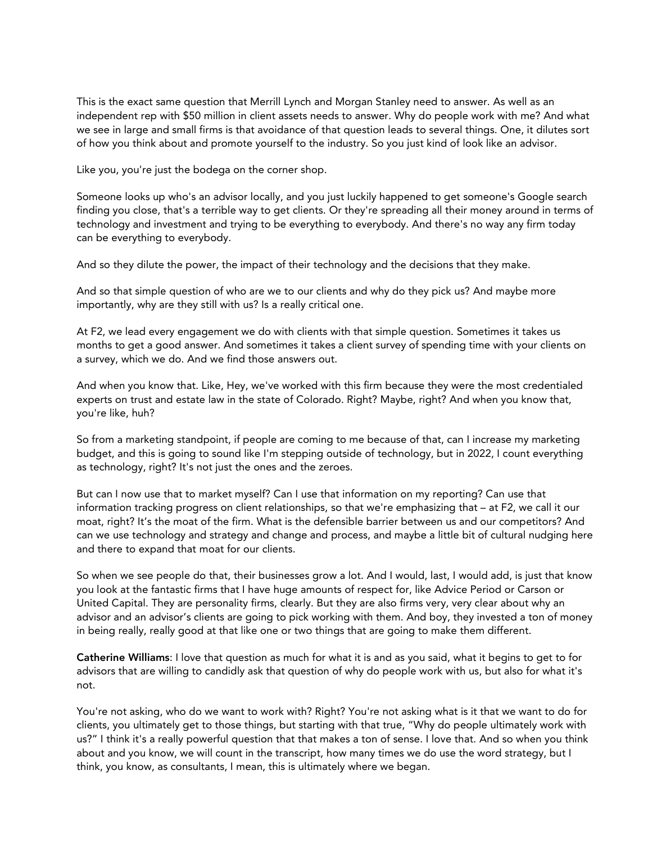This is the exact same question that Merrill Lynch and Morgan Stanley need to answer. As well as an independent rep with \$50 million in client assets needs to answer. Why do people work with me? And what we see in large and small firms is that avoidance of that question leads to several things. One, it dilutes sort of how you think about and promote yourself to the industry. So you just kind of look like an advisor.

Like you, you're just the bodega on the corner shop.

Someone looks up who's an advisor locally, and you just luckily happened to get someone's Google search finding you close, that's a terrible way to get clients. Or they're spreading all their money around in terms of technology and investment and trying to be everything to everybody. And there's no way any firm today can be everything to everybody.

And so they dilute the power, the impact of their technology and the decisions that they make.

And so that simple question of who are we to our clients and why do they pick us? And maybe more importantly, why are they still with us? Is a really critical one.

At F2, we lead every engagement we do with clients with that simple question. Sometimes it takes us months to get a good answer. And sometimes it takes a client survey of spending time with your clients on a survey, which we do. And we find those answers out.

And when you know that. Like, Hey, we've worked with this firm because they were the most credentialed experts on trust and estate law in the state of Colorado. Right? Maybe, right? And when you know that, you're like, huh?

So from a marketing standpoint, if people are coming to me because of that, can I increase my marketing budget, and this is going to sound like I'm stepping outside of technology, but in 2022, I count everything as technology, right? It's not just the ones and the zeroes.

But can I now use that to market myself? Can I use that information on my reporting? Can use that information tracking progress on client relationships, so that we're emphasizing that – at F2, we call it our moat, right? It's the moat of the firm. What is the defensible barrier between us and our competitors? And can we use technology and strategy and change and process, and maybe a little bit of cultural nudging here and there to expand that moat for our clients.

So when we see people do that, their businesses grow a lot. And I would, last, I would add, is just that know you look at the fantastic firms that I have huge amounts of respect for, like Advice Period or Carson or United Capital. They are personality firms, clearly. But they are also firms very, very clear about why an advisor and an advisor's clients are going to pick working with them. And boy, they invested a ton of money in being really, really good at that like one or two things that are going to make them different.

Catherine Williams: I love that question as much for what it is and as you said, what it begins to get to for advisors that are willing to candidly ask that question of why do people work with us, but also for what it's not.

You're not asking, who do we want to work with? Right? You're not asking what is it that we want to do for clients, you ultimately get to those things, but starting with that true, "Why do people ultimately work with us?" I think it's a really powerful question that that makes a ton of sense. I love that. And so when you think about and you know, we will count in the transcript, how many times we do use the word strategy, but I think, you know, as consultants, I mean, this is ultimately where we began.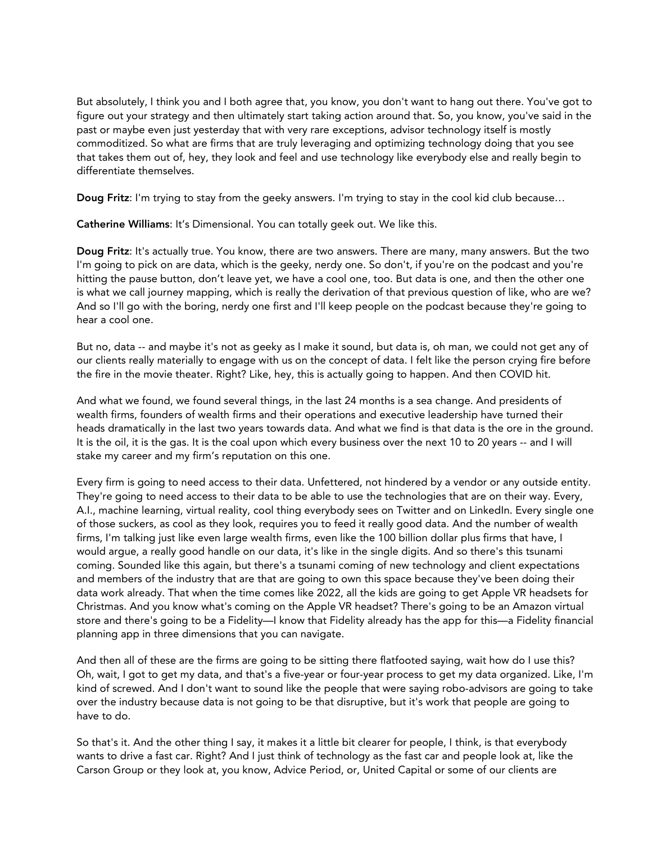But absolutely, I think you and I both agree that, you know, you don't want to hang out there. You've got to figure out your strategy and then ultimately start taking action around that. So, you know, you've said in the past or maybe even just yesterday that with very rare exceptions, advisor technology itself is mostly commoditized. So what are firms that are truly leveraging and optimizing technology doing that you see that takes them out of, hey, they look and feel and use technology like everybody else and really begin to differentiate themselves.

Doug Fritz: I'm trying to stay from the geeky answers. I'm trying to stay in the cool kid club because...

Catherine Williams: It's Dimensional. You can totally geek out. We like this.

Doug Fritz: It's actually true. You know, there are two answers. There are many, many answers. But the two I'm going to pick on are data, which is the geeky, nerdy one. So don't, if you're on the podcast and you're hitting the pause button, don't leave yet, we have a cool one, too. But data is one, and then the other one is what we call journey mapping, which is really the derivation of that previous question of like, who are we? And so I'll go with the boring, nerdy one first and I'll keep people on the podcast because they're going to hear a cool one.

But no, data -- and maybe it's not as geeky as I make it sound, but data is, oh man, we could not get any of our clients really materially to engage with us on the concept of data. I felt like the person crying fire before the fire in the movie theater. Right? Like, hey, this is actually going to happen. And then COVID hit.

And what we found, we found several things, in the last 24 months is a sea change. And presidents of wealth firms, founders of wealth firms and their operations and executive leadership have turned their heads dramatically in the last two years towards data. And what we find is that data is the ore in the ground. It is the oil, it is the gas. It is the coal upon which every business over the next 10 to 20 years -- and I will stake my career and my firm's reputation on this one.

Every firm is going to need access to their data. Unfettered, not hindered by a vendor or any outside entity. They're going to need access to their data to be able to use the technologies that are on their way. Every, A.I., machine learning, virtual reality, cool thing everybody sees on Twitter and on LinkedIn. Every single one of those suckers, as cool as they look, requires you to feed it really good data. And the number of wealth firms, I'm talking just like even large wealth firms, even like the 100 billion dollar plus firms that have, I would argue, a really good handle on our data, it's like in the single digits. And so there's this tsunami coming. Sounded like this again, but there's a tsunami coming of new technology and client expectations and members of the industry that are that are going to own this space because they've been doing their data work already. That when the time comes like 2022, all the kids are going to get Apple VR headsets for Christmas. And you know what's coming on the Apple VR headset? There's going to be an Amazon virtual store and there's going to be a Fidelity—I know that Fidelity already has the app for this—a Fidelity financial planning app in three dimensions that you can navigate.

And then all of these are the firms are going to be sitting there flatfooted saying, wait how do I use this? Oh, wait, I got to get my data, and that's a five-year or four-year process to get my data organized. Like, I'm kind of screwed. And I don't want to sound like the people that were saying robo-advisors are going to take over the industry because data is not going to be that disruptive, but it's work that people are going to have to do.

So that's it. And the other thing I say, it makes it a little bit clearer for people, I think, is that everybody wants to drive a fast car. Right? And I just think of technology as the fast car and people look at, like the Carson Group or they look at, you know, Advice Period, or, United Capital or some of our clients are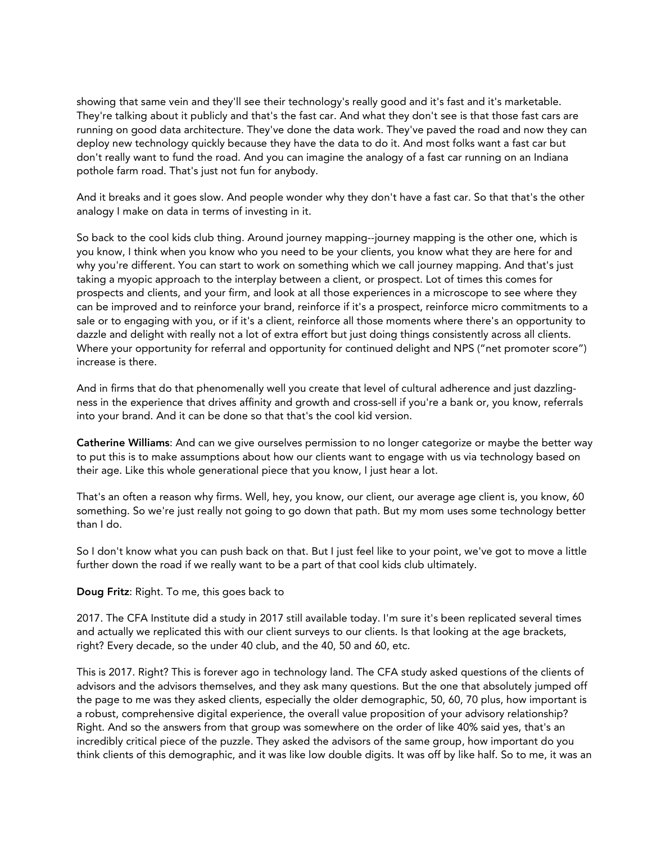showing that same vein and they'll see their technology's really good and it's fast and it's marketable. They're talking about it publicly and that's the fast car. And what they don't see is that those fast cars are running on good data architecture. They've done the data work. They've paved the road and now they can deploy new technology quickly because they have the data to do it. And most folks want a fast car but don't really want to fund the road. And you can imagine the analogy of a fast car running on an Indiana pothole farm road. That's just not fun for anybody.

And it breaks and it goes slow. And people wonder why they don't have a fast car. So that that's the other analogy I make on data in terms of investing in it.

So back to the cool kids club thing. Around journey mapping--journey mapping is the other one, which is you know, I think when you know who you need to be your clients, you know what they are here for and why you're different. You can start to work on something which we call journey mapping. And that's just taking a myopic approach to the interplay between a client, or prospect. Lot of times this comes for prospects and clients, and your firm, and look at all those experiences in a microscope to see where they can be improved and to reinforce your brand, reinforce if it's a prospect, reinforce micro commitments to a sale or to engaging with you, or if it's a client, reinforce all those moments where there's an opportunity to dazzle and delight with really not a lot of extra effort but just doing things consistently across all clients. Where your opportunity for referral and opportunity for continued delight and NPS ("net promoter score") increase is there.

And in firms that do that phenomenally well you create that level of cultural adherence and just dazzlingness in the experience that drives affinity and growth and cross-sell if you're a bank or, you know, referrals into your brand. And it can be done so that that's the cool kid version.

Catherine Williams: And can we give ourselves permission to no longer categorize or maybe the better way to put this is to make assumptions about how our clients want to engage with us via technology based on their age. Like this whole generational piece that you know, I just hear a lot.

That's an often a reason why firms. Well, hey, you know, our client, our average age client is, you know, 60 something. So we're just really not going to go down that path. But my mom uses some technology better than I do.

So I don't know what you can push back on that. But I just feel like to your point, we've got to move a little further down the road if we really want to be a part of that cool kids club ultimately.

Doug Fritz: Right. To me, this goes back to

2017. The CFA Institute did a study in 2017 still available today. I'm sure it's been replicated several times and actually we replicated this with our client surveys to our clients. Is that looking at the age brackets, right? Every decade, so the under 40 club, and the 40, 50 and 60, etc.

This is 2017. Right? This is forever ago in technology land. The CFA study asked questions of the clients of advisors and the advisors themselves, and they ask many questions. But the one that absolutely jumped off the page to me was they asked clients, especially the older demographic, 50, 60, 70 plus, how important is a robust, comprehensive digital experience, the overall value proposition of your advisory relationship? Right. And so the answers from that group was somewhere on the order of like 40% said yes, that's an incredibly critical piece of the puzzle. They asked the advisors of the same group, how important do you think clients of this demographic, and it was like low double digits. It was off by like half. So to me, it was an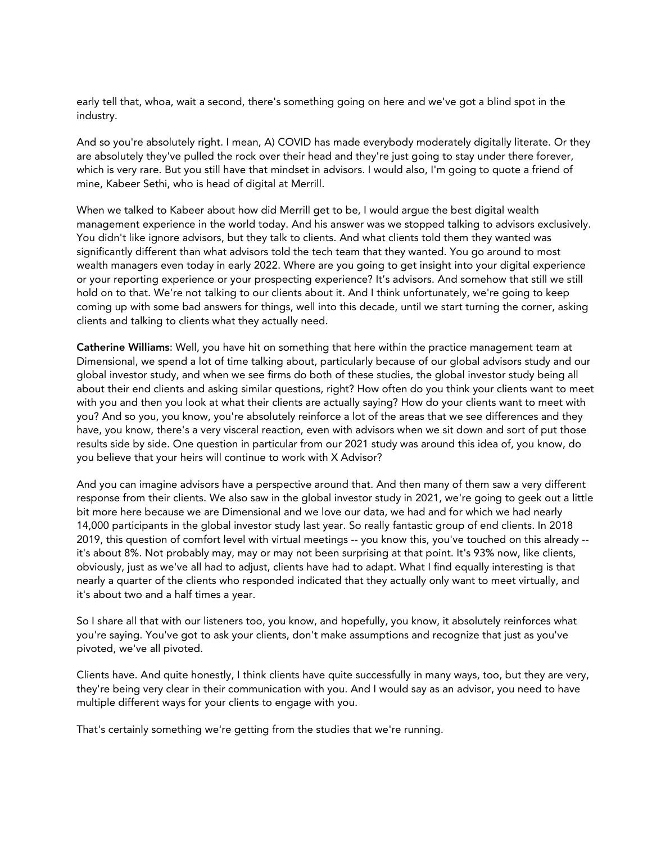early tell that, whoa, wait a second, there's something going on here and we've got a blind spot in the industry.

And so you're absolutely right. I mean, A) COVID has made everybody moderately digitally literate. Or they are absolutely they've pulled the rock over their head and they're just going to stay under there forever, which is very rare. But you still have that mindset in advisors. I would also, I'm going to quote a friend of mine, Kabeer Sethi, who is head of digital at Merrill.

When we talked to Kabeer about how did Merrill get to be, I would argue the best digital wealth management experience in the world today. And his answer was we stopped talking to advisors exclusively. You didn't like ignore advisors, but they talk to clients. And what clients told them they wanted was significantly different than what advisors told the tech team that they wanted. You go around to most wealth managers even today in early 2022. Where are you going to get insight into your digital experience or your reporting experience or your prospecting experience? It's advisors. And somehow that still we still hold on to that. We're not talking to our clients about it. And I think unfortunately, we're going to keep coming up with some bad answers for things, well into this decade, until we start turning the corner, asking clients and talking to clients what they actually need.

Catherine Williams: Well, you have hit on something that here within the practice management team at Dimensional, we spend a lot of time talking about, particularly because of our global advisors study and our global investor study, and when we see firms do both of these studies, the global investor study being all about their end clients and asking similar questions, right? How often do you think your clients want to meet with you and then you look at what their clients are actually saying? How do your clients want to meet with you? And so you, you know, you're absolutely reinforce a lot of the areas that we see differences and they have, you know, there's a very visceral reaction, even with advisors when we sit down and sort of put those results side by side. One question in particular from our 2021 study was around this idea of, you know, do you believe that your heirs will continue to work with X Advisor?

And you can imagine advisors have a perspective around that. And then many of them saw a very different response from their clients. We also saw in the global investor study in 2021, we're going to geek out a little bit more here because we are Dimensional and we love our data, we had and for which we had nearly 14,000 participants in the global investor study last year. So really fantastic group of end clients. In 2018 2019, this question of comfort level with virtual meetings -- you know this, you've touched on this already - it's about 8%. Not probably may, may or may not been surprising at that point. It's 93% now, like clients, obviously, just as we've all had to adjust, clients have had to adapt. What I find equally interesting is that nearly a quarter of the clients who responded indicated that they actually only want to meet virtually, and it's about two and a half times a year.

So I share all that with our listeners too, you know, and hopefully, you know, it absolutely reinforces what you're saying. You've got to ask your clients, don't make assumptions and recognize that just as you've pivoted, we've all pivoted.

Clients have. And quite honestly, I think clients have quite successfully in many ways, too, but they are very, they're being very clear in their communication with you. And I would say as an advisor, you need to have multiple different ways for your clients to engage with you.

That's certainly something we're getting from the studies that we're running.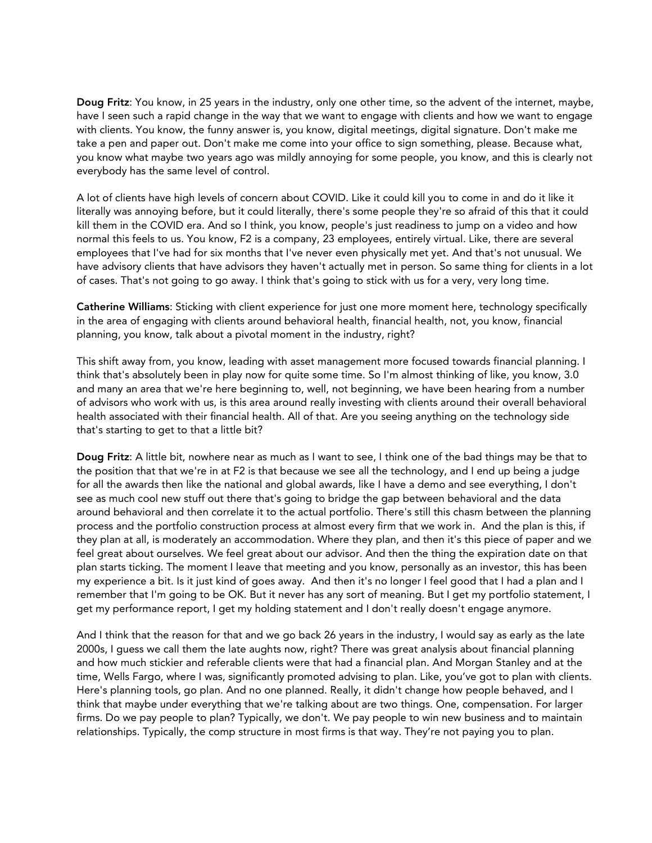Doug Fritz: You know, in 25 years in the industry, only one other time, so the advent of the internet, maybe, have I seen such a rapid change in the way that we want to engage with clients and how we want to engage with clients. You know, the funny answer is, you know, digital meetings, digital signature. Don't make me take a pen and paper out. Don't make me come into your office to sign something, please. Because what, you know what maybe two years ago was mildly annoying for some people, you know, and this is clearly not everybody has the same level of control.

A lot of clients have high levels of concern about COVID. Like it could kill you to come in and do it like it literally was annoying before, but it could literally, there's some people they're so afraid of this that it could kill them in the COVID era. And so I think, you know, people's just readiness to jump on a video and how normal this feels to us. You know, F2 is a company, 23 employees, entirely virtual. Like, there are several employees that I've had for six months that I've never even physically met yet. And that's not unusual. We have advisory clients that have advisors they haven't actually met in person. So same thing for clients in a lot of cases. That's not going to go away. I think that's going to stick with us for a very, very long time.

Catherine Williams: Sticking with client experience for just one more moment here, technology specifically in the area of engaging with clients around behavioral health, financial health, not, you know, financial planning, you know, talk about a pivotal moment in the industry, right?

This shift away from, you know, leading with asset management more focused towards financial planning. I think that's absolutely been in play now for quite some time. So I'm almost thinking of like, you know, 3.0 and many an area that we're here beginning to, well, not beginning, we have been hearing from a number of advisors who work with us, is this area around really investing with clients around their overall behavioral health associated with their financial health. All of that. Are you seeing anything on the technology side that's starting to get to that a little bit?

Doug Fritz: A little bit, nowhere near as much as I want to see, I think one of the bad things may be that to the position that that we're in at F2 is that because we see all the technology, and I end up being a judge for all the awards then like the national and global awards, like I have a demo and see everything, I don't see as much cool new stuff out there that's going to bridge the gap between behavioral and the data around behavioral and then correlate it to the actual portfolio. There's still this chasm between the planning process and the portfolio construction process at almost every firm that we work in. And the plan is this, if they plan at all, is moderately an accommodation. Where they plan, and then it's this piece of paper and we feel great about ourselves. We feel great about our advisor. And then the thing the expiration date on that plan starts ticking. The moment I leave that meeting and you know, personally as an investor, this has been my experience a bit. Is it just kind of goes away. And then it's no longer I feel good that I had a plan and I remember that I'm going to be OK. But it never has any sort of meaning. But I get my portfolio statement, I get my performance report, I get my holding statement and I don't really doesn't engage anymore.

And I think that the reason for that and we go back 26 years in the industry, I would say as early as the late 2000s, I guess we call them the late aughts now, right? There was great analysis about financial planning and how much stickier and referable clients were that had a financial plan. And Morgan Stanley and at the time, Wells Fargo, where I was, significantly promoted advising to plan. Like, you've got to plan with clients. Here's planning tools, go plan. And no one planned. Really, it didn't change how people behaved, and I think that maybe under everything that we're talking about are two things. One, compensation. For larger firms. Do we pay people to plan? Typically, we don't. We pay people to win new business and to maintain relationships. Typically, the comp structure in most firms is that way. They're not paying you to plan.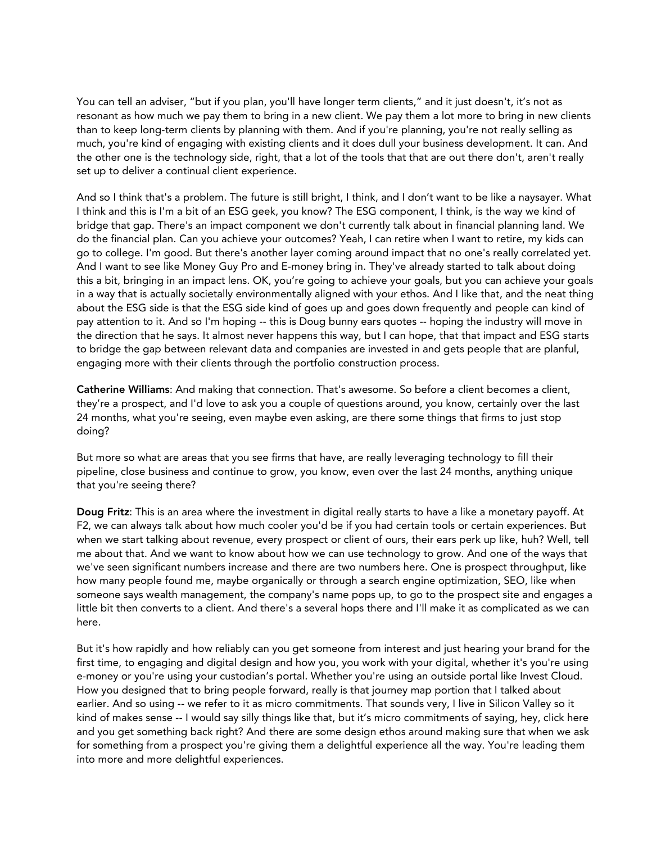You can tell an adviser, "but if you plan, you'll have longer term clients," and it just doesn't, it's not as resonant as how much we pay them to bring in a new client. We pay them a lot more to bring in new clients than to keep long-term clients by planning with them. And if you're planning, you're not really selling as much, you're kind of engaging with existing clients and it does dull your business development. It can. And the other one is the technology side, right, that a lot of the tools that that are out there don't, aren't really set up to deliver a continual client experience.

And so I think that's a problem. The future is still bright, I think, and I don't want to be like a naysayer. What I think and this is I'm a bit of an ESG geek, you know? The ESG component, I think, is the way we kind of bridge that gap. There's an impact component we don't currently talk about in financial planning land. We do the financial plan. Can you achieve your outcomes? Yeah, I can retire when I want to retire, my kids can go to college. I'm good. But there's another layer coming around impact that no one's really correlated yet. And I want to see like Money Guy Pro and E-money bring in. They've already started to talk about doing this a bit, bringing in an impact lens. OK, you're going to achieve your goals, but you can achieve your goals in a way that is actually societally environmentally aligned with your ethos. And I like that, and the neat thing about the ESG side is that the ESG side kind of goes up and goes down frequently and people can kind of pay attention to it. And so I'm hoping -- this is Doug bunny ears quotes -- hoping the industry will move in the direction that he says. It almost never happens this way, but I can hope, that that impact and ESG starts to bridge the gap between relevant data and companies are invested in and gets people that are planful, engaging more with their clients through the portfolio construction process.

Catherine Williams: And making that connection. That's awesome. So before a client becomes a client, they're a prospect, and I'd love to ask you a couple of questions around, you know, certainly over the last 24 months, what you're seeing, even maybe even asking, are there some things that firms to just stop doing?

But more so what are areas that you see firms that have, are really leveraging technology to fill their pipeline, close business and continue to grow, you know, even over the last 24 months, anything unique that you're seeing there?

Doug Fritz: This is an area where the investment in digital really starts to have a like a monetary payoff. At F2, we can always talk about how much cooler you'd be if you had certain tools or certain experiences. But when we start talking about revenue, every prospect or client of ours, their ears perk up like, huh? Well, tell me about that. And we want to know about how we can use technology to grow. And one of the ways that we've seen significant numbers increase and there are two numbers here. One is prospect throughput, like how many people found me, maybe organically or through a search engine optimization, SEO, like when someone says wealth management, the company's name pops up, to go to the prospect site and engages a little bit then converts to a client. And there's a several hops there and I'll make it as complicated as we can here.

But it's how rapidly and how reliably can you get someone from interest and just hearing your brand for the first time, to engaging and digital design and how you, you work with your digital, whether it's you're using e-money or you're using your custodian's portal. Whether you're using an outside portal like Invest Cloud. How you designed that to bring people forward, really is that journey map portion that I talked about earlier. And so using -- we refer to it as micro commitments. That sounds very, I live in Silicon Valley so it kind of makes sense -- I would say silly things like that, but it's micro commitments of saying, hey, click here and you get something back right? And there are some design ethos around making sure that when we ask for something from a prospect you're giving them a delightful experience all the way. You're leading them into more and more delightful experiences.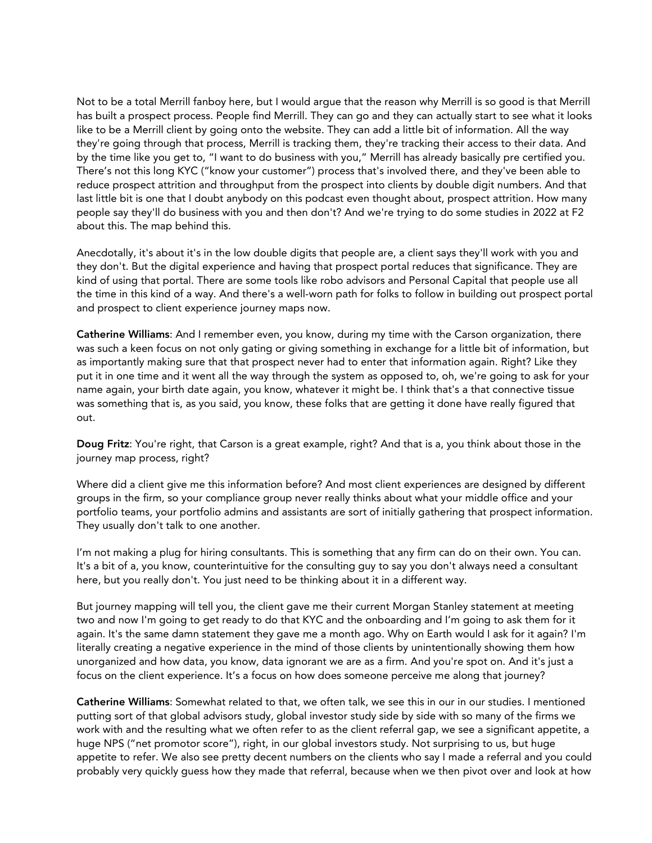Not to be a total Merrill fanboy here, but I would argue that the reason why Merrill is so good is that Merrill has built a prospect process. People find Merrill. They can go and they can actually start to see what it looks like to be a Merrill client by going onto the website. They can add a little bit of information. All the way they're going through that process, Merrill is tracking them, they're tracking their access to their data. And by the time like you get to, "I want to do business with you," Merrill has already basically pre certified you. There's not this long KYC ("know your customer") process that's involved there, and they've been able to reduce prospect attrition and throughput from the prospect into clients by double digit numbers. And that last little bit is one that I doubt anybody on this podcast even thought about, prospect attrition. How many people say they'll do business with you and then don't? And we're trying to do some studies in 2022 at F2 about this. The map behind this.

Anecdotally, it's about it's in the low double digits that people are, a client says they'll work with you and they don't. But the digital experience and having that prospect portal reduces that significance. They are kind of using that portal. There are some tools like robo advisors and Personal Capital that people use all the time in this kind of a way. And there's a well-worn path for folks to follow in building out prospect portal and prospect to client experience journey maps now.

Catherine Williams: And I remember even, you know, during my time with the Carson organization, there was such a keen focus on not only gating or giving something in exchange for a little bit of information, but as importantly making sure that that prospect never had to enter that information again. Right? Like they put it in one time and it went all the way through the system as opposed to, oh, we're going to ask for your name again, your birth date again, you know, whatever it might be. I think that's a that connective tissue was something that is, as you said, you know, these folks that are getting it done have really figured that out.

Doug Fritz: You're right, that Carson is a great example, right? And that is a, you think about those in the journey map process, right?

Where did a client give me this information before? And most client experiences are designed by different groups in the firm, so your compliance group never really thinks about what your middle office and your portfolio teams, your portfolio admins and assistants are sort of initially gathering that prospect information. They usually don't talk to one another.

I'm not making a plug for hiring consultants. This is something that any firm can do on their own. You can. It's a bit of a, you know, counterintuitive for the consulting guy to say you don't always need a consultant here, but you really don't. You just need to be thinking about it in a different way.

But journey mapping will tell you, the client gave me their current Morgan Stanley statement at meeting two and now I'm going to get ready to do that KYC and the onboarding and I'm going to ask them for it again. It's the same damn statement they gave me a month ago. Why on Earth would I ask for it again? I'm literally creating a negative experience in the mind of those clients by unintentionally showing them how unorganized and how data, you know, data ignorant we are as a firm. And you're spot on. And it's just a focus on the client experience. It's a focus on how does someone perceive me along that journey?

Catherine Williams: Somewhat related to that, we often talk, we see this in our in our studies. I mentioned putting sort of that global advisors study, global investor study side by side with so many of the firms we work with and the resulting what we often refer to as the client referral gap, we see a significant appetite, a huge NPS ("net promotor score"), right, in our global investors study. Not surprising to us, but huge appetite to refer. We also see pretty decent numbers on the clients who say I made a referral and you could probably very quickly guess how they made that referral, because when we then pivot over and look at how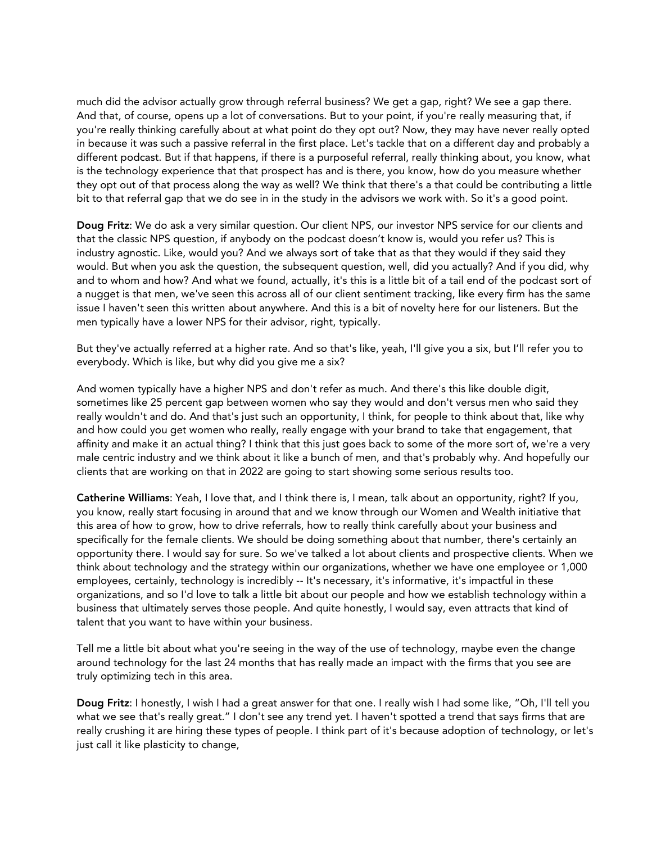much did the advisor actually grow through referral business? We get a gap, right? We see a gap there. And that, of course, opens up a lot of conversations. But to your point, if you're really measuring that, if you're really thinking carefully about at what point do they opt out? Now, they may have never really opted in because it was such a passive referral in the first place. Let's tackle that on a different day and probably a different podcast. But if that happens, if there is a purposeful referral, really thinking about, you know, what is the technology experience that that prospect has and is there, you know, how do you measure whether they opt out of that process along the way as well? We think that there's a that could be contributing a little bit to that referral gap that we do see in in the study in the advisors we work with. So it's a good point.

Doug Fritz: We do ask a very similar question. Our client NPS, our investor NPS service for our clients and that the classic NPS question, if anybody on the podcast doesn't know is, would you refer us? This is industry agnostic. Like, would you? And we always sort of take that as that they would if they said they would. But when you ask the question, the subsequent question, well, did you actually? And if you did, why and to whom and how? And what we found, actually, it's this is a little bit of a tail end of the podcast sort of a nugget is that men, we've seen this across all of our client sentiment tracking, like every firm has the same issue I haven't seen this written about anywhere. And this is a bit of novelty here for our listeners. But the men typically have a lower NPS for their advisor, right, typically.

But they've actually referred at a higher rate. And so that's like, yeah, I'll give you a six, but I'll refer you to everybody. Which is like, but why did you give me a six?

And women typically have a higher NPS and don't refer as much. And there's this like double digit, sometimes like 25 percent gap between women who say they would and don't versus men who said they really wouldn't and do. And that's just such an opportunity, I think, for people to think about that, like why and how could you get women who really, really engage with your brand to take that engagement, that affinity and make it an actual thing? I think that this just goes back to some of the more sort of, we're a very male centric industry and we think about it like a bunch of men, and that's probably why. And hopefully our clients that are working on that in 2022 are going to start showing some serious results too.

Catherine Williams: Yeah, I love that, and I think there is, I mean, talk about an opportunity, right? If you, you know, really start focusing in around that and we know through our Women and Wealth initiative that this area of how to grow, how to drive referrals, how to really think carefully about your business and specifically for the female clients. We should be doing something about that number, there's certainly an opportunity there. I would say for sure. So we've talked a lot about clients and prospective clients. When we think about technology and the strategy within our organizations, whether we have one employee or 1,000 employees, certainly, technology is incredibly -- It's necessary, it's informative, it's impactful in these organizations, and so I'd love to talk a little bit about our people and how we establish technology within a business that ultimately serves those people. And quite honestly, I would say, even attracts that kind of talent that you want to have within your business.

Tell me a little bit about what you're seeing in the way of the use of technology, maybe even the change around technology for the last 24 months that has really made an impact with the firms that you see are truly optimizing tech in this area.

Doug Fritz: I honestly, I wish I had a great answer for that one. I really wish I had some like, "Oh, I'll tell you what we see that's really great." I don't see any trend yet. I haven't spotted a trend that says firms that are really crushing it are hiring these types of people. I think part of it's because adoption of technology, or let's just call it like plasticity to change,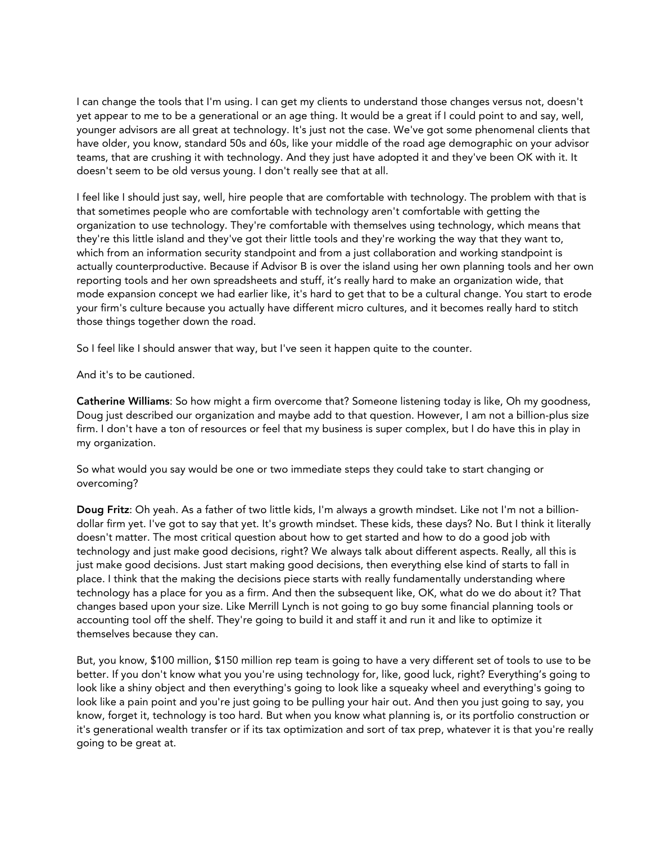I can change the tools that I'm using. I can get my clients to understand those changes versus not, doesn't yet appear to me to be a generational or an age thing. It would be a great if I could point to and say, well, younger advisors are all great at technology. It's just not the case. We've got some phenomenal clients that have older, you know, standard 50s and 60s, like your middle of the road age demographic on your advisor teams, that are crushing it with technology. And they just have adopted it and they've been OK with it. It doesn't seem to be old versus young. I don't really see that at all.

I feel like I should just say, well, hire people that are comfortable with technology. The problem with that is that sometimes people who are comfortable with technology aren't comfortable with getting the organization to use technology. They're comfortable with themselves using technology, which means that they're this little island and they've got their little tools and they're working the way that they want to, which from an information security standpoint and from a just collaboration and working standpoint is actually counterproductive. Because if Advisor B is over the island using her own planning tools and her own reporting tools and her own spreadsheets and stuff, it's really hard to make an organization wide, that mode expansion concept we had earlier like, it's hard to get that to be a cultural change. You start to erode your firm's culture because you actually have different micro cultures, and it becomes really hard to stitch those things together down the road.

So I feel like I should answer that way, but I've seen it happen quite to the counter.

And it's to be cautioned.

Catherine Williams: So how might a firm overcome that? Someone listening today is like, Oh my goodness, Doug just described our organization and maybe add to that question. However, I am not a billion-plus size firm. I don't have a ton of resources or feel that my business is super complex, but I do have this in play in my organization.

So what would you say would be one or two immediate steps they could take to start changing or overcoming?

Doug Fritz: Oh yeah. As a father of two little kids, I'm always a growth mindset. Like not I'm not a billiondollar firm yet. I've got to say that yet. It's growth mindset. These kids, these days? No. But I think it literally doesn't matter. The most critical question about how to get started and how to do a good job with technology and just make good decisions, right? We always talk about different aspects. Really, all this is just make good decisions. Just start making good decisions, then everything else kind of starts to fall in place. I think that the making the decisions piece starts with really fundamentally understanding where technology has a place for you as a firm. And then the subsequent like, OK, what do we do about it? That changes based upon your size. Like Merrill Lynch is not going to go buy some financial planning tools or accounting tool off the shelf. They're going to build it and staff it and run it and like to optimize it themselves because they can.

But, you know, \$100 million, \$150 million rep team is going to have a very different set of tools to use to be better. If you don't know what you you're using technology for, like, good luck, right? Everything's going to look like a shiny object and then everything's going to look like a squeaky wheel and everything's going to look like a pain point and you're just going to be pulling your hair out. And then you just going to say, you know, forget it, technology is too hard. But when you know what planning is, or its portfolio construction or it's generational wealth transfer or if its tax optimization and sort of tax prep, whatever it is that you're really going to be great at.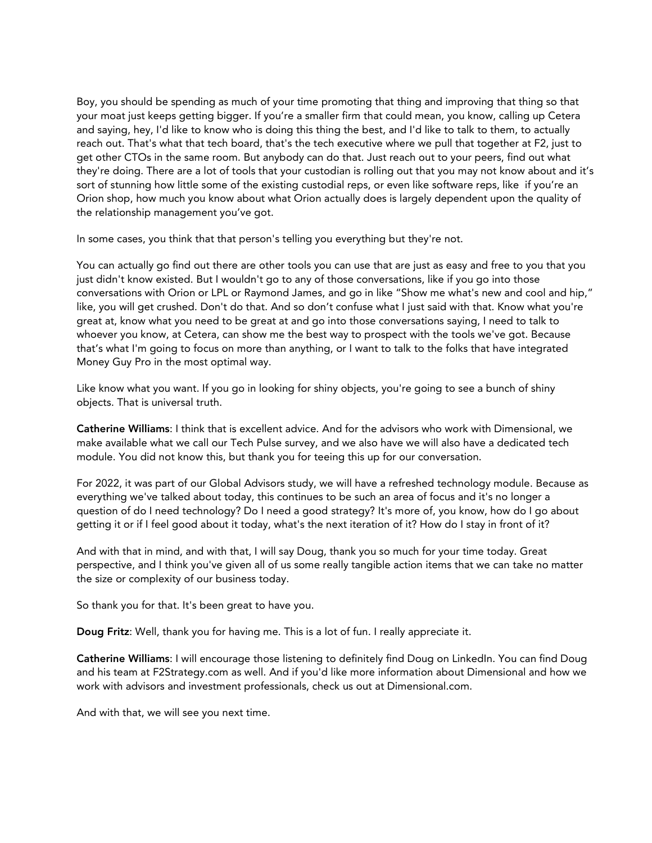Boy, you should be spending as much of your time promoting that thing and improving that thing so that your moat just keeps getting bigger. If you're a smaller firm that could mean, you know, calling up Cetera and saying, hey, I'd like to know who is doing this thing the best, and I'd like to talk to them, to actually reach out. That's what that tech board, that's the tech executive where we pull that together at F2, just to get other CTOs in the same room. But anybody can do that. Just reach out to your peers, find out what they're doing. There are a lot of tools that your custodian is rolling out that you may not know about and it's sort of stunning how little some of the existing custodial reps, or even like software reps, like if you're an Orion shop, how much you know about what Orion actually does is largely dependent upon the quality of the relationship management you've got.

In some cases, you think that that person's telling you everything but they're not.

You can actually go find out there are other tools you can use that are just as easy and free to you that you just didn't know existed. But I wouldn't go to any of those conversations, like if you go into those conversations with Orion or LPL or Raymond James, and go in like "Show me what's new and cool and hip," like, you will get crushed. Don't do that. And so don't confuse what I just said with that. Know what you're great at, know what you need to be great at and go into those conversations saying, I need to talk to whoever you know, at Cetera, can show me the best way to prospect with the tools we've got. Because that's what I'm going to focus on more than anything, or I want to talk to the folks that have integrated Money Guy Pro in the most optimal way.

Like know what you want. If you go in looking for shiny objects, you're going to see a bunch of shiny objects. That is universal truth.

Catherine Williams: I think that is excellent advice. And for the advisors who work with Dimensional, we make available what we call our Tech Pulse survey, and we also have we will also have a dedicated tech module. You did not know this, but thank you for teeing this up for our conversation.

For 2022, it was part of our Global Advisors study, we will have a refreshed technology module. Because as everything we've talked about today, this continues to be such an area of focus and it's no longer a question of do I need technology? Do I need a good strategy? It's more of, you know, how do I go about getting it or if I feel good about it today, what's the next iteration of it? How do I stay in front of it?

And with that in mind, and with that, I will say Doug, thank you so much for your time today. Great perspective, and I think you've given all of us some really tangible action items that we can take no matter the size or complexity of our business today.

So thank you for that. It's been great to have you.

Doug Fritz: Well, thank you for having me. This is a lot of fun. I really appreciate it.

Catherine Williams: I will encourage those listening to definitely find Doug on LinkedIn. You can find Doug and his team at F2Strategy.com as well. And if you'd like more information about Dimensional and how we work with advisors and investment professionals, check us out at Dimensional.com.

And with that, we will see you next time.